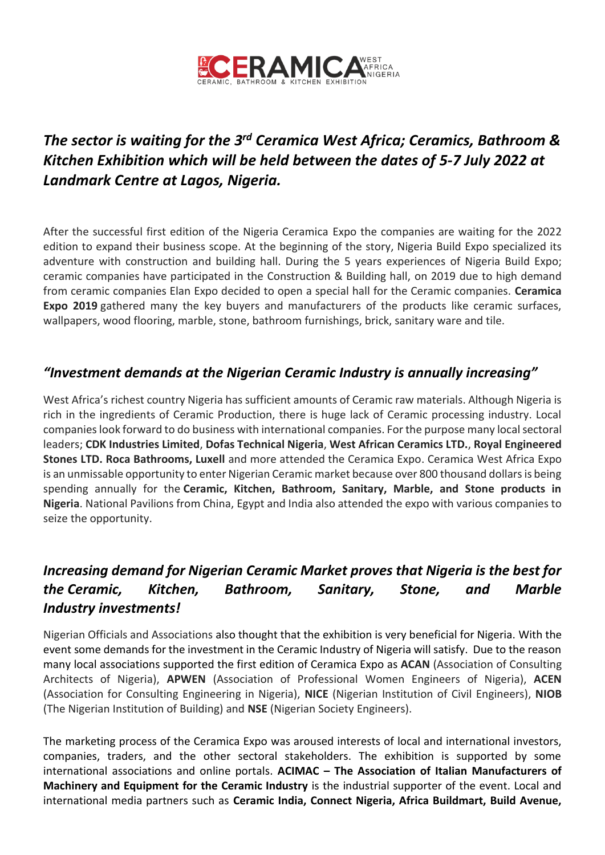

# *The sector is waiting for the 3 rd Ceramica West Africa; Ceramics, Bathroom & Kitchen Exhibition which will be held between the dates of 5-7 July 2022 at Landmark Centre at Lagos, Nigeria.*

After the successful first edition of the Nigeria Ceramica Expo the companies are waiting for the 2022 edition to expand their business scope. At the beginning of the story, Nigeria Build Expo specialized its adventure with construction and building hall. During the 5 years experiences of Nigeria Build Expo; ceramic companies have participated in the Construction & Building hall, on 2019 due to high demand from ceramic companies Elan Expo decided to open a special hall for the Ceramic companies. **Ceramica Expo 2019** gathered many the key buyers and manufacturers of the products like ceramic surfaces, wallpapers, wood flooring, marble, stone, bathroom furnishings, brick, sanitary ware and tile.

#### *"Investment demands at the Nigerian Ceramic Industry is annually increasing"*

West Africa's richest country Nigeria has sufficient amounts of Ceramic raw materials. Although Nigeria is rich in the ingredients of Ceramic Production, there is huge lack of Ceramic processing industry. Local companies look forward to do business with international companies. For the purpose many local sectoral leaders; **CDK Industries Limited**, **Dofas Technical Nigeria**, **West African Ceramics LTD.**, **Royal Engineered Stones LTD. Roca Bathrooms, Luxell** and more attended the Ceramica Expo. Ceramica West Africa Expo is an unmissable opportunity to enter Nigerian Ceramic market because over 800 thousand dollars is being spending annually for the **Ceramic, Kitchen, Bathroom, Sanitary, Marble, and Stone products in Nigeria**. National Pavilions from China, Egypt and India also attended the expo with various companies to seize the opportunity.

# *Increasing demand for Nigerian Ceramic Market proves that Nigeria is the best for the Ceramic, Kitchen, Bathroom, Sanitary, Stone, and Marble Industry investments!*

Nigerian Officials and Associations also thought that the exhibition is very beneficial for Nigeria. With the event some demands for the investment in the Ceramic Industry of Nigeria will satisfy. Due to the reason many local associations supported the first edition of Ceramica Expo as **ACAN** (Association of Consulting Architects of Nigeria), **APWEN** (Association of Professional Women Engineers of Nigeria), **ACEN** (Association for Consulting Engineering in Nigeria), **NICE** (Nigerian Institution of Civil Engineers), **NIOB** (The Nigerian Institution of Building) and **NSE** (Nigerian Society Engineers).

The marketing process of the Ceramica Expo was aroused interests of local and international investors, companies, traders, and the other sectoral stakeholders. The exhibition is supported by some international associations and online portals. **ACIMAC – The Association of Italian Manufacturers of Machinery and Equipment for the Ceramic Industry** is the industrial supporter of the event. Local and international media partners such as **Ceramic India, Connect Nigeria, Africa Buildmart, Build Avenue,**